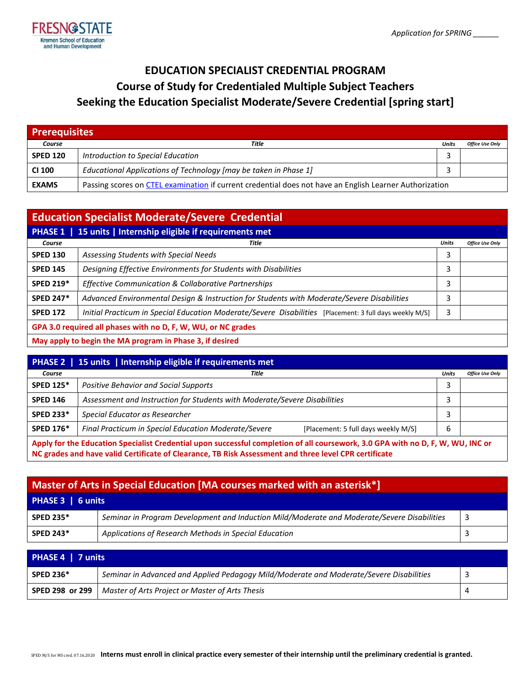

# **EDUCATION SPECIALIST CREDENTIAL PROGRAM Course of Study for Credentialed Multiple Subject Teachers Seeking the Education Specialist Moderate/Severe Credential [spring start]**

| <b>Prerequisites</b> |                                                                                                         |       |                        |
|----------------------|---------------------------------------------------------------------------------------------------------|-------|------------------------|
| Course               | Title                                                                                                   | Units | <b>Office Use Only</b> |
| <b>SPED 120</b>      | Introduction to Special Education                                                                       |       |                        |
| <b>CI 100</b>        | Educational Applications of Technology [may be taken in Phase 1]                                        |       |                        |
| <b>EXAMS</b>         | Passing scores on CTEL examination if current credential does not have an English Learner Authorization |       |                        |

| <b>Education Specialist Moderate/Severe Credential</b> |                                                                                                         |              |                        |
|--------------------------------------------------------|---------------------------------------------------------------------------------------------------------|--------------|------------------------|
|                                                        | PHASE 1   15 units   Internship eligible if requirements met                                            |              |                        |
| Course                                                 | Title                                                                                                   | <b>Units</b> | <b>Office Use Only</b> |
| <b>SPED 130</b>                                        | Assessing Students with Special Needs                                                                   | 3            |                        |
| <b>SPED 145</b>                                        | Designing Effective Environments for Students with Disabilities                                         | 3            |                        |
| <b>SPED 219*</b>                                       | Effective Communication & Collaborative Partnerships                                                    | 3            |                        |
| <b>SPED 247*</b>                                       | Advanced Environmental Design & Instruction for Students with Moderate/Severe Disabilities              | 3            |                        |
| <b>SPED 172</b>                                        | Initial Practicum in Special Education Moderate/Severe Disabilities [Placement: 3 full days weekly M/S] | 3            |                        |
|                                                        | GPA 3.0 required all phases with no D, F, W, WU, or NC grades                                           |              |                        |
|                                                        | May apply to begin the MA program in Phase 3, if desired                                                |              |                        |

| <b>PHASE 2</b>   15 units   Internship eligible if requirements met                                                             |                                                                                             |       |                        |
|---------------------------------------------------------------------------------------------------------------------------------|---------------------------------------------------------------------------------------------|-------|------------------------|
| Course                                                                                                                          | Title                                                                                       | Units | <b>Office Use Only</b> |
| <b>SPED 125*</b>                                                                                                                | Positive Behavior and Social Supports                                                       |       |                        |
| <b>SPED 146</b>                                                                                                                 | Assessment and Instruction for Students with Moderate/Severe Disabilities                   |       |                        |
| <b>SPED 233*</b>                                                                                                                | Special Educator as Researcher                                                              |       |                        |
| <b>SPED 176*</b>                                                                                                                | Final Practicum in Special Education Moderate/Severe<br>[Placement: 5 full days weekly M/S] | 6     |                        |
| Apply for the Education Specialist Credential upon successful completion of all coursework, 3.0 GPA with no D, F, W, WU, INC or |                                                                                             |       |                        |

**NC grades and have valid Certificate of Clearance, TB Risk Assessment and three level CPR certificate**

| Master of Arts in Special Education [MA courses marked with an asterisk*] |                                                                                             |   |  |
|---------------------------------------------------------------------------|---------------------------------------------------------------------------------------------|---|--|
| PHASE 3   6 units                                                         |                                                                                             |   |  |
| <b>SPED 235*</b>                                                          | Seminar in Program Development and Induction Mild/Moderate and Moderate/Severe Disabilities | 3 |  |
| <b>SPED 243*</b>                                                          | Applications of Research Methods in Special Education                                       |   |  |

| PHASE 4   7 units |                                                                                         |  |  |
|-------------------|-----------------------------------------------------------------------------------------|--|--|
| <b>SPED 236*</b>  | Seminar in Advanced and Applied Pedagogy Mild/Moderate and Moderate/Severe Disabilities |  |  |
| SPED 298 or 299   | Master of Arts Project or Master of Arts Thesis                                         |  |  |